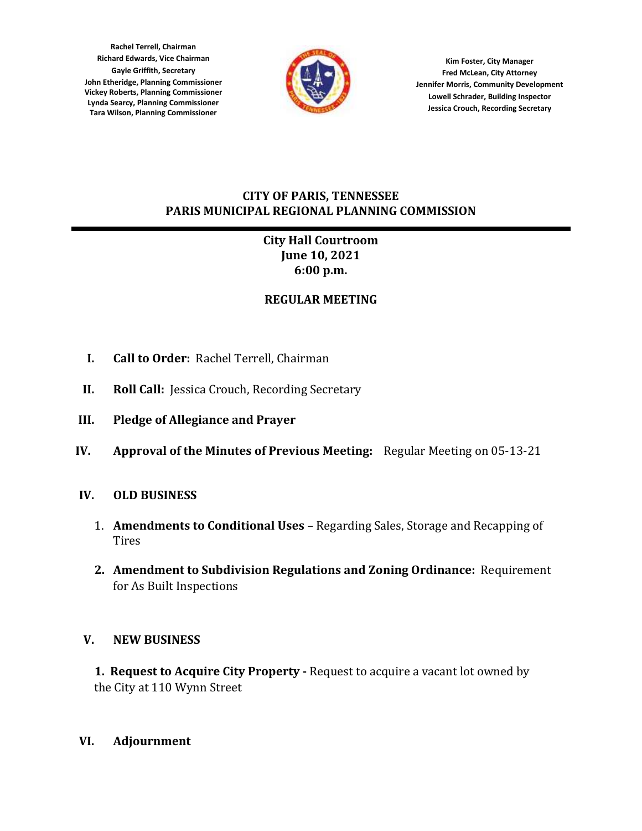**Rachel Terrell, Chairman Richard Edwards, Vice Chairman Gayle Griffith, Secretary John Etheridge, Planning Commissioner Vickey Roberts, Planning Commissioner Lynda Searcy, Planning Commissioner Tara Wilson, Planning Commissioner**



**Kim Foster, City Manager Fred McLean, City Attorney Jennifer Morris, Community Development Lowell Schrader, Building Inspector Jessica Crouch, Recording Secretary**

### **CITY OF PARIS, TENNESSEE PARIS MUNICIPAL REGIONAL PLANNING COMMISSION**

# **City Hall Courtroom June 10, 2021 6:00 p.m.**

# **REGULAR MEETING**

- **I. Call to Order:** Rachel Terrell, Chairman
- **II. Roll Call:** Jessica Crouch, Recording Secretary
- **III. Pledge of Allegiance and Prayer**
- **IV. Approval of the Minutes of Previous Meeting:** Regular Meeting on 05-13-21

## **IV. OLD BUSINESS**

- 1. **Amendments to Conditional Uses** Regarding Sales, Storage and Recapping of **Tires**
- **2. Amendment to Subdivision Regulations and Zoning Ordinance:** Requirement for As Built Inspections

## **V. NEW BUSINESS**

**1. Request to Acquire City Property -** Request to acquire a vacant lot owned by the City at 110 Wynn Street

## **VI. Adjournment**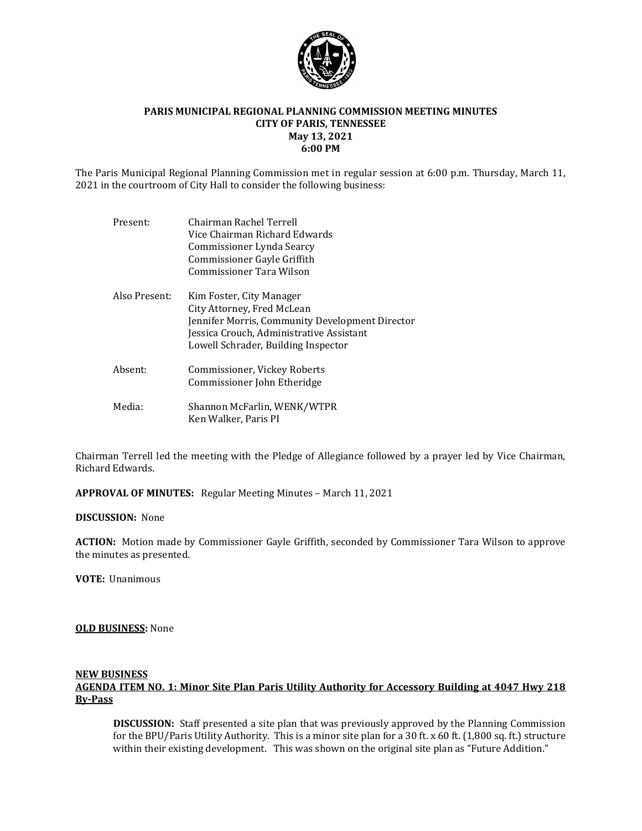

### **PARIS MUNICIPAL REGIONAL PLANNING COMMISSION MEETING MINUTES CITY OF PARIS, TENNESSEE May 13, 2021 6:00 PM**

The Paris Municipal Regional Planning Commission met in regular session at 6:00 p.m. Thursday, March 11, 2021 in the courtroom of City Hall to consider the following business:

| Present:      | Chairman Rachel Terrell<br>Vice Chairman Richard Edwards<br>Commissioner Lynda Searcy<br>Commissioner Gayle Griffith<br>Commissioner Tara Wilson                                             |
|---------------|----------------------------------------------------------------------------------------------------------------------------------------------------------------------------------------------|
| Also Present: | Kim Foster, City Manager<br>City Attorney, Fred McLean<br>Jennifer Morris, Community Development Director<br>Jessica Crouch, Administrative Assistant<br>Lowell Schrader, Building Inspector |
| Absent:       | Commissioner, Vickey Roberts<br>Commissioner John Etheridge                                                                                                                                  |
| Media:        | Shannon McFarlin, WENK/WTPR<br>Ken Walker, Paris PI                                                                                                                                          |

Chairman Terrell led the meeting with the Pledge of Allegiance followed by a prayer led by Vice Chairman, Richard Edwards.

**APPROVAL OF MINUTES:** Regular Meeting Minutes – March 11, 2021

#### **DISCUSSION:** None

**ACTION:** Motion made by Commissioner Gayle Griffith, seconded by Commissioner Tara Wilson to approve the minutes as presented.

**VOTE:** Unanimous

#### **OLD BUSINESS:** None

### **NEW BUSINESS AGENDA ITEM NO. 1: Minor Site Plan Paris Utility Authority for Accessory Building at 4047 Hwy 218 By-Pass**

**DISCUSSION:** Staff presented a site plan that was previously approved by the Planning Commission for the BPU/Paris Utility Authority. This is a minor site plan for a 30 ft. x 60 ft. (1,800 sq. ft.) structure within their existing development. This was shown on the original site plan as "Future Addition."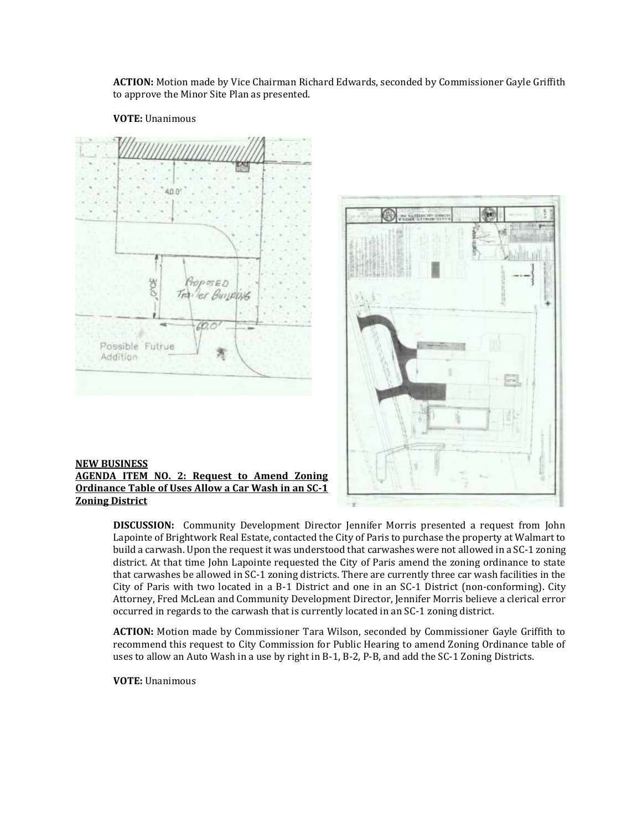**ACTION:** Motion made by Vice Chairman Richard Edwards, seconded by Commissioner Gayle Griffith to approve the Minor Site Plan as presented.

#### **VOTE:** Unanimous





### **NEW BUSINESS AGENDA ITEM NO. 2: Request to Amend Zoning Ordinance Table of Uses Allow a Car Wash in an SC-1 Zoning District**

**DISCUSSION:** Community Development Director Jennifer Morris presented a request from John Lapointe of Brightwork Real Estate, contacted the City of Paris to purchase the property at Walmart to build a carwash. Upon the request it was understood that carwashes were not allowed in a SC-1 zoning district. At that time John Lapointe requested the City of Paris amend the zoning ordinance to state that carwashes be allowed in SC-1 zoning districts. There are currently three car wash facilities in the City of Paris with two located in a B-1 District and one in an SC-1 District (non-conforming). City Attorney, Fred McLean and Community Development Director, Jennifer Morris believe a clerical error occurred in regards to the carwash that is currently located in an SC-1 zoning district.

**ACTION:** Motion made by Commissioner Tara Wilson, seconded by Commissioner Gayle Griffith to recommend this request to City Commission for Public Hearing to amend Zoning Ordinance table of uses to allow an Auto Wash in a use by right in B-1, B-2, P-B, and add the SC-1 Zoning Districts.

**VOTE:** Unanimous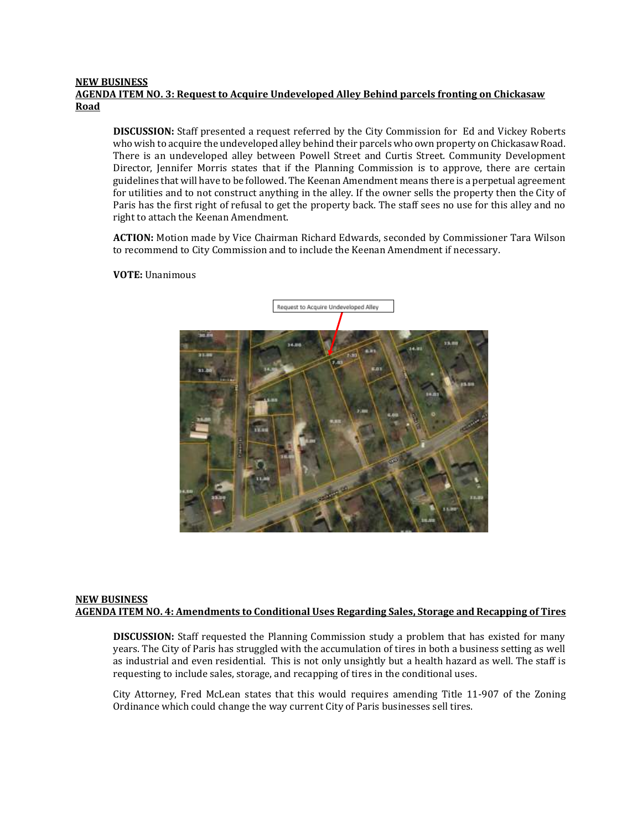### **NEW BUSINESS AGENDA ITEM NO. 3: Request to Acquire Undeveloped Alley Behind parcels fronting on Chickasaw Road**

**DISCUSSION:** Staff presented a request referred by the City Commission for Ed and Vickey Roberts who wish to acquire the undeveloped alley behind their parcels who own property on Chickasaw Road. There is an undeveloped alley between Powell Street and Curtis Street. Community Development Director, Jennifer Morris states that if the Planning Commission is to approve, there are certain guidelines that will have to be followed. The Keenan Amendment means there is a perpetual agreement for utilities and to not construct anything in the alley. If the owner sells the property then the City of Paris has the first right of refusal to get the property back. The staff sees no use for this alley and no right to attach the Keenan Amendment.

**ACTION:** Motion made by Vice Chairman Richard Edwards, seconded by Commissioner Tara Wilson to recommend to City Commission and to include the Keenan Amendment if necessary.



**VOTE:** Unanimous

### **NEW BUSINESS AGENDA ITEM NO. 4: Amendments to Conditional Uses Regarding Sales, Storage and Recapping of Tires**

**DISCUSSION:** Staff requested the Planning Commission study a problem that has existed for many years. The City of Paris has struggled with the accumulation of tires in both a business setting as well as industrial and even residential. This is not only unsightly but a health hazard as well. The staff is requesting to include sales, storage, and recapping of tires in the conditional uses.

City Attorney, Fred McLean states that this would requires amending Title 11-907 of the Zoning Ordinance which could change the way current City of Paris businesses sell tires.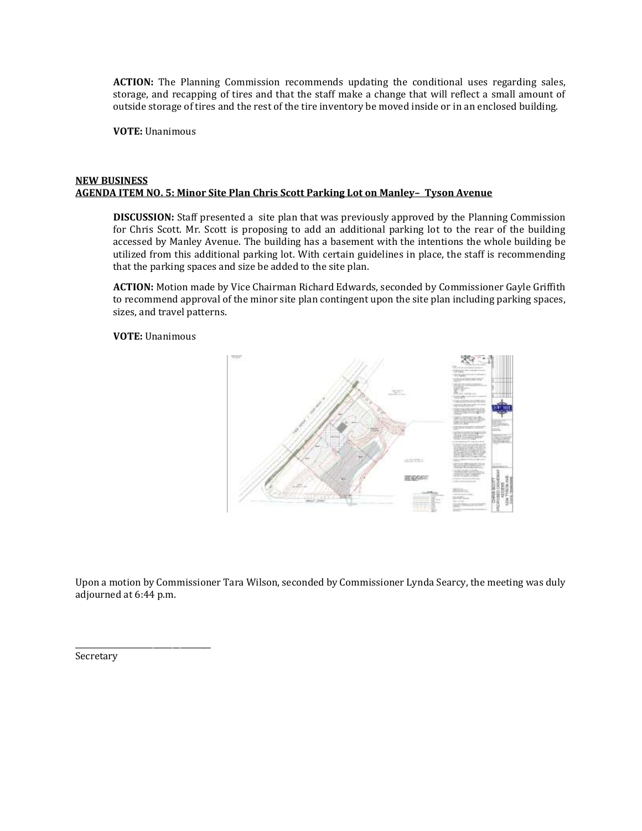**ACTION:** The Planning Commission recommends updating the conditional uses regarding sales, storage, and recapping of tires and that the staff make a change that will reflect a small amount of outside storage of tires and the rest of the tire inventory be moved inside or in an enclosed building.

**VOTE:** Unanimous

### **NEW BUSINESS AGENDA ITEM NO. 5: Minor Site Plan Chris Scott Parking Lot on Manley– Tyson Avenue**

**DISCUSSION:** Staff presented a site plan that was previously approved by the Planning Commission for Chris Scott. Mr. Scott is proposing to add an additional parking lot to the rear of the building accessed by Manley Avenue. The building has a basement with the intentions the whole building be utilized from this additional parking lot. With certain guidelines in place, the staff is recommending that the parking spaces and size be added to the site plan.

**ACTION:** Motion made by Vice Chairman Richard Edwards, seconded by Commissioner Gayle Griffith to recommend approval of the minor site plan contingent upon the site plan including parking spaces, sizes, and travel patterns.

**VOTE:** Unanimous



Upon a motion by Commissioner Tara Wilson, seconded by Commissioner Lynda Searcy, the meeting was duly adjourned at 6:44 p.m.

Secretary

\_\_\_\_\_\_\_\_\_\_\_\_\_\_\_\_\_\_\_\_\_\_\_\_\_\_\_\_\_\_\_\_\_\_\_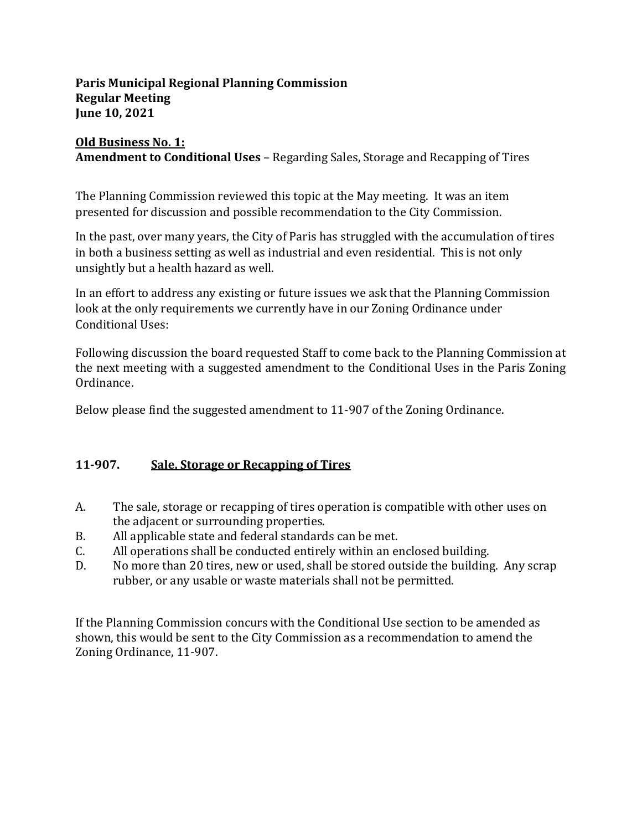## **Paris Municipal Regional Planning Commission Regular Meeting June 10, 2021**

# **Old Business No. 1: Amendment to Conditional Uses** – Regarding Sales, Storage and Recapping of Tires

The Planning Commission reviewed this topic at the May meeting. It was an item presented for discussion and possible recommendation to the City Commission.

In the past, over many years, the City of Paris has struggled with the accumulation of tires in both a business setting as well as industrial and even residential. This is not only unsightly but a health hazard as well.

In an effort to address any existing or future issues we ask that the Planning Commission look at the only requirements we currently have in our Zoning Ordinance under Conditional Uses:

Following discussion the board requested Staff to come back to the Planning Commission at the next meeting with a suggested amendment to the Conditional Uses in the Paris Zoning Ordinance.

Below please find the suggested amendment to 11-907 of the Zoning Ordinance.

# **11-907. Sale, Storage or Recapping of Tires**

- A. The sale, storage or recapping of tires operation is compatible with other uses on the adjacent or surrounding properties.
- B. All applicable state and federal standards can be met.
- C. All operations shall be conducted entirely within an enclosed building.
- D. No more than 20 tires, new or used, shall be stored outside the building. Any scrap rubber, or any usable or waste materials shall not be permitted.

If the Planning Commission concurs with the Conditional Use section to be amended as shown, this would be sent to the City Commission as a recommendation to amend the Zoning Ordinance, 11-907.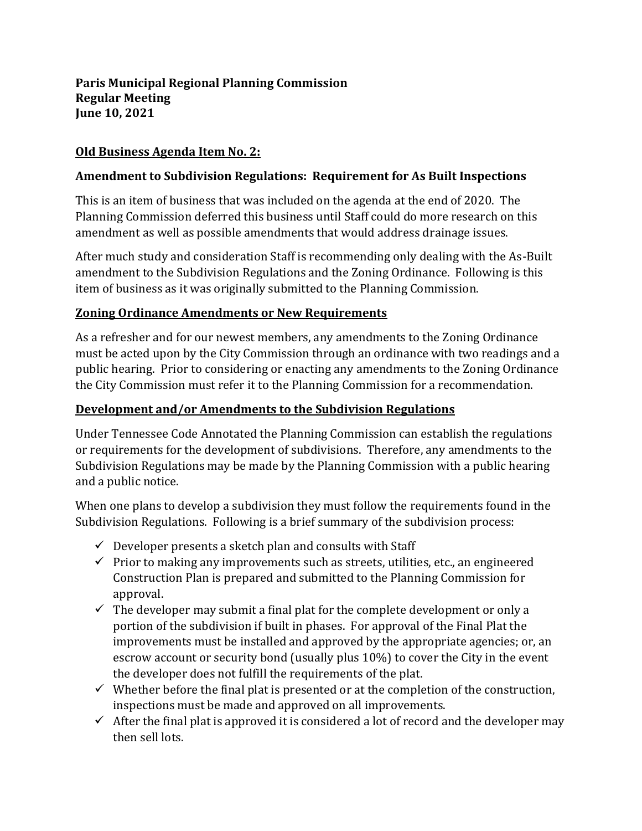# **Old Business Agenda Item No. 2:**

## **Amendment to Subdivision Regulations: Requirement for As Built Inspections**

This is an item of business that was included on the agenda at the end of 2020. The Planning Commission deferred this business until Staff could do more research on this amendment as well as possible amendments that would address drainage issues.

After much study and consideration Staff is recommending only dealing with the As-Built amendment to the Subdivision Regulations and the Zoning Ordinance. Following is this item of business as it was originally submitted to the Planning Commission.

# **Zoning Ordinance Amendments or New Requirements**

As a refresher and for our newest members, any amendments to the Zoning Ordinance must be acted upon by the City Commission through an ordinance with two readings and a public hearing. Prior to considering or enacting any amendments to the Zoning Ordinance the City Commission must refer it to the Planning Commission for a recommendation.

# **Development and/or Amendments to the Subdivision Regulations**

Under Tennessee Code Annotated the Planning Commission can establish the regulations or requirements for the development of subdivisions. Therefore, any amendments to the Subdivision Regulations may be made by the Planning Commission with a public hearing and a public notice.

When one plans to develop a subdivision they must follow the requirements found in the Subdivision Regulations. Following is a brief summary of the subdivision process:

- $\checkmark$  Developer presents a sketch plan and consults with Staff
- $\checkmark$  Prior to making any improvements such as streets, utilities, etc., an engineered Construction Plan is prepared and submitted to the Planning Commission for approval.
- $\checkmark$  The developer may submit a final plat for the complete development or only a portion of the subdivision if built in phases. For approval of the Final Plat the improvements must be installed and approved by the appropriate agencies; or, an escrow account or security bond (usually plus 10%) to cover the City in the event the developer does not fulfill the requirements of the plat.
- $\checkmark$  Whether before the final plat is presented or at the completion of the construction, inspections must be made and approved on all improvements.
- $\checkmark$  After the final plat is approved it is considered a lot of record and the developer may then sell lots.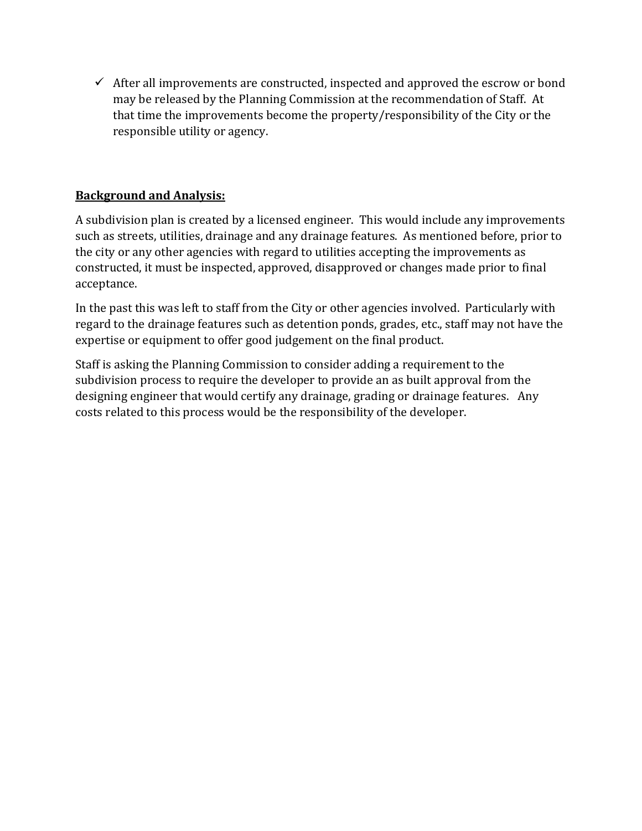$\checkmark$  After all improvements are constructed, inspected and approved the escrow or bond may be released by the Planning Commission at the recommendation of Staff. At that time the improvements become the property/responsibility of the City or the responsible utility or agency.

# **Background and Analysis:**

A subdivision plan is created by a licensed engineer. This would include any improvements such as streets, utilities, drainage and any drainage features. As mentioned before, prior to the city or any other agencies with regard to utilities accepting the improvements as constructed, it must be inspected, approved, disapproved or changes made prior to final acceptance.

In the past this was left to staff from the City or other agencies involved. Particularly with regard to the drainage features such as detention ponds, grades, etc., staff may not have the expertise or equipment to offer good judgement on the final product.

Staff is asking the Planning Commission to consider adding a requirement to the subdivision process to require the developer to provide an as built approval from the designing engineer that would certify any drainage, grading or drainage features. Any costs related to this process would be the responsibility of the developer.